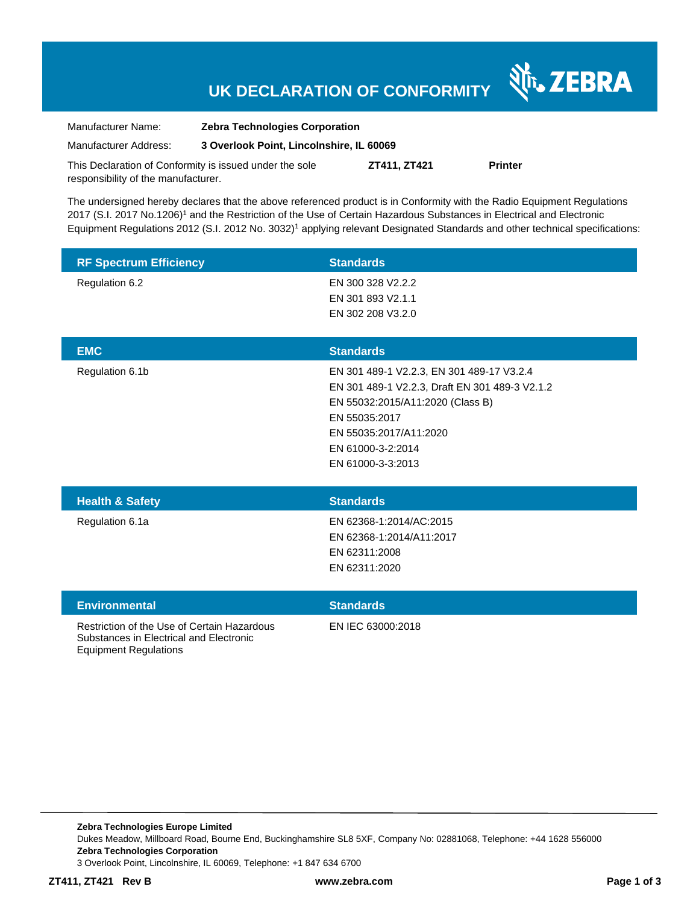# **UK DECLARATION OF CONFORMITY**

Nr. ZEBRA

| Manufacturer Name:                                      | <b>Zebra Technologies Corporation</b>    |              |                |
|---------------------------------------------------------|------------------------------------------|--------------|----------------|
| Manufacturer Address:                                   | 3 Overlook Point, Lincolnshire, IL 60069 |              |                |
| This Declaration of Conformity is issued under the sole |                                          | ZT411, ZT421 | <b>Printer</b> |
| responsibility of the manufacturer.                     |                                          |              |                |

The undersigned hereby declares that the above referenced product is in Conformity with the Radio Equipment Regulations 2017 (S.I. 2017 No.1206)<sup>1</sup> and the Restriction of the Use of Certain Hazardous Substances in Electrical and Electronic Equipment Regulations 2012 (S.I. 2012 No. 3032)<sup>1</sup> applying relevant Designated Standards and other technical specifications:

| <b>RF Spectrum Efficiency</b> | <b>Standards</b>  |
|-------------------------------|-------------------|
| Regulation 6.2                | EN 300 328 V2.2.2 |
|                               | EN 301 893 V2.1.1 |
|                               | EN 302 208 V3.2.0 |
|                               |                   |
| <b>EMC</b>                    | <b>Cinndovdo</b>  |

| <b>EMC</b>      | <b>Standards</b>                               |
|-----------------|------------------------------------------------|
| Regulation 6.1b | EN 301 489-1 V2.2.3, EN 301 489-17 V3.2.4      |
|                 | EN 301 489-1 V2.2.3, Draft EN 301 489-3 V2.1.2 |
|                 | EN 55032:2015/A11:2020 (Class B)               |
|                 | EN 55035:2017                                  |
|                 | EN 55035:2017/A11:2020                         |
|                 | EN 61000-3-2:2014                              |
|                 | EN 61000-3-3:2013                              |
|                 |                                                |

| <b>Health &amp; Safety</b> | <b>Standards</b>         |
|----------------------------|--------------------------|
| Regulation 6.1a            | EN 62368-1:2014/AC:2015  |
|                            | EN 62368-1:2014/A11:2017 |
|                            | EN 62311:2008            |
|                            | EN 62311:2020            |
|                            |                          |

| <b>Environmental</b>                                                                                                   | <b>Standards</b>  |
|------------------------------------------------------------------------------------------------------------------------|-------------------|
| Restriction of the Use of Certain Hazardous<br>Substances in Electrical and Electronic<br><b>Equipment Regulations</b> | EN IEC 63000:2018 |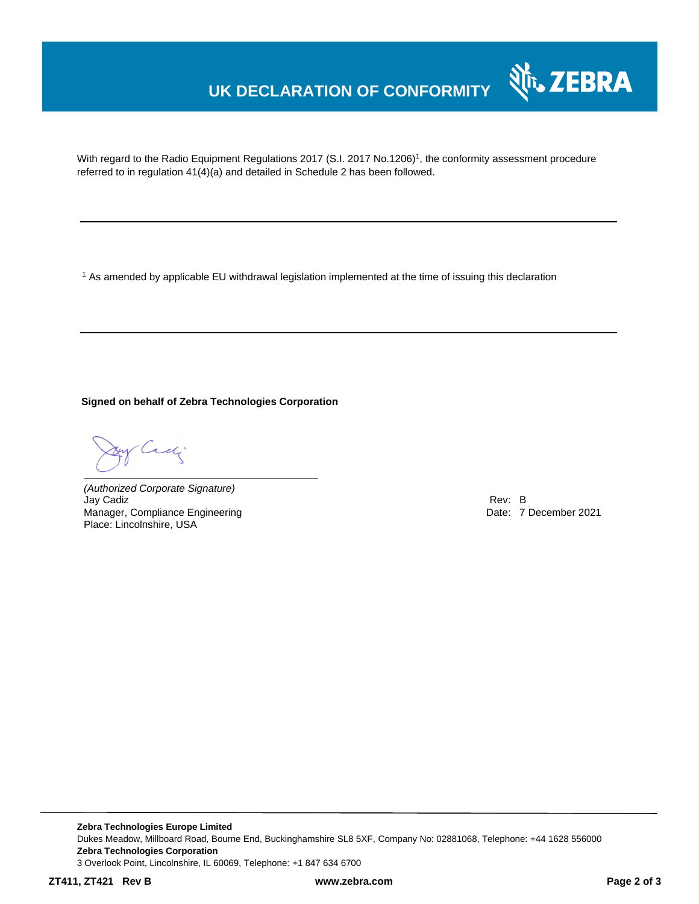### **UK DECLARATION OF CONFORMITY**

With regard to the Radio Equipment Regulations 2017 (S.I. 2017 No.1206)<sup>1</sup>, the conformity assessment procedure referred to in regulation 41(4)(a) and detailed in Schedule 2 has been followed.

<sup>1</sup> As amended by applicable EU withdrawal legislation implemented at the time of issuing this declaration

**Signed on behalf of Zebra Technologies Corporation**

Cady

*(Authorized Corporate Signature)* Jay Cadiz Rev: B Manager, Compliance Engineering **Date: 7 December 2021 Date: 7 December 2021** Place: Lincolnshire, USA

Nr. ZEBRA

**Zebra Technologies Europe Limited** Dukes Meadow, Millboard Road, Bourne End, Buckinghamshire SL8 5XF, Company No: 02881068, Telephone: +44 1628 556000 **Zebra Technologies Corporation**  3 Overlook Point, Lincolnshire, IL 60069, Telephone: +1 847 634 6700